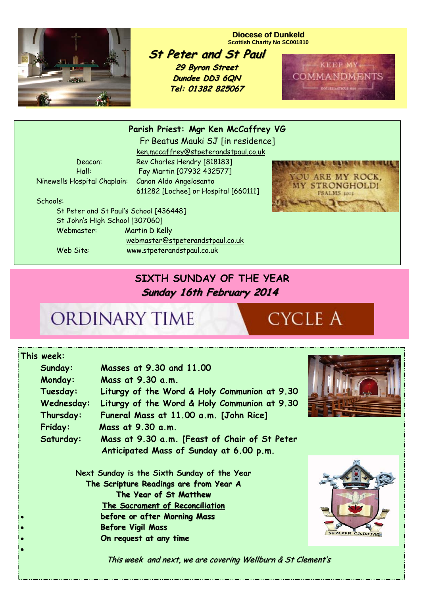

#### **Diocese of Dunkeld Scottish Charity No SC001810**

**St Peter and St Paul 29 Byron Street 29 Byron Street Dundee DD3 6QN**

**Tel: 01382 825067**



**Parish Priest: Mgr Ken McCaffrey VG** 

Fr Beatus Mauki SJ [in residence] ken.mccaffrey@stpeterandstpaul.co.uk Deacon: Rev Charles Hendry [818183] Hall: Fay Martin [07932 432577] 611282 [Lochee] or Hospital [660111]

Ninewells Hospital Chaplain: Canon Aldo Angelosanto

Schools:

 St Peter and St Paul's School [436448] St John's High School [307060] Webmaster: Martin D Kelly webmaster@stpeterandstpaul.co.uk Web Site: www.stpeterandstpaul.co.uk



### **SIXTH SUNDAY OF THE YEAR Sunday 16th February 2014 Sunday 16th February 2014**

## ORDINARY TIME

# **CYCLE A**

|                                        | ∣This week:                                 |                                                             |  |
|----------------------------------------|---------------------------------------------|-------------------------------------------------------------|--|
|                                        | Sunday:                                     | Masses at 9.30 and 11.00                                    |  |
|                                        | Monday:                                     | Mass at 9.30 a.m.                                           |  |
|                                        | Tuesday:                                    | Liturgy of the Word & Holy Communion at 9.30                |  |
|                                        | Wednesday:                                  | Liturgy of the Word & Holy Communion at 9.30                |  |
|                                        | Thursday:                                   | Funeral Mass at 11.00 a.m. [John Rice]                      |  |
|                                        | Friday:                                     | Mass at 9.30 a.m.                                           |  |
|                                        | Saturday:                                   | Mass at 9.30 a.m. [Feast of Chair of St Peter               |  |
|                                        |                                             | Anticipated Mass of Sunday at 6.00 p.m.                     |  |
|                                        |                                             |                                                             |  |
|                                        | Next Sunday is the Sixth Sunday of the Year |                                                             |  |
| The Scripture Readings are from Year A |                                             |                                                             |  |
|                                        |                                             | The Year of St Matthew                                      |  |
|                                        |                                             | The Sacrament of Reconciliation                             |  |
|                                        |                                             | before or after Morning Mass                                |  |
|                                        |                                             | <b>Before Vigil Mass</b>                                    |  |
|                                        |                                             | On request at any time                                      |  |
|                                        |                                             |                                                             |  |
|                                        |                                             | This week and next, we are covering Wellburn & St Clement's |  |



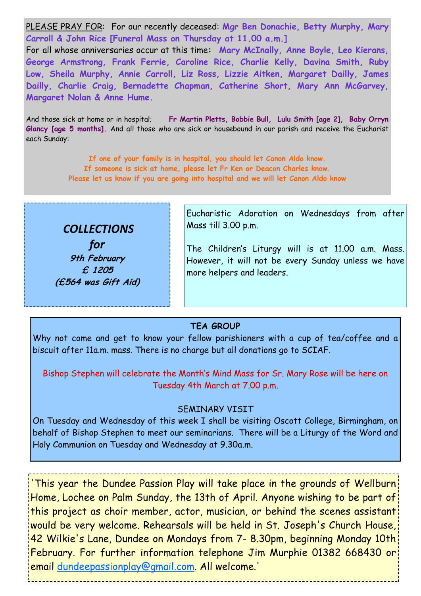PLEASE PRAY FOR: For our recently deceased: **Mgr Ben Donachie, Betty Murphy, Mary Carroll & John Rice [Funeral Mass on Thursday at 11.00 a.m.]** 

For all whose anniversaries occur at this time**: Mary McInally, Anne Boyle, Leo Kierans, George Armstrong, Frank Ferrie, Caroline Rice, Charlie Kelly, Davina Smith, Ruby Low, Sheila Murphy, Annie Carroll, Liz Ross, Lizzie Aitken, Margaret Dailly, James Dailly, Charlie Craig, Bernadette Chapman, Catherine Short, Mary Ann McGarvey, Margaret Nolan & Anne Hume.** 

And those sick at home or in hospital; **Fr Martin Pletts, Bobbie Bull, Lulu Smith [age 2], Baby Orryn Glancy [age 5 months].** And all those who are sick or housebound in our parish and receive the Eucharist each Sunday:

> **If one of your family is in hospital, you should let Canon Aldo know. If someone is sick at home, please let Fr Ken or Deacon Charles know. Please let us know if you are going into hospital and we will let Canon Aldo know**



*for* **9th February £ 1205 (£564 was Gift Aid)**  Eucharistic Adoration on Wednesdays from after Mass till 3.00 p.m.

The Children's Liturgy will is at 11.00 a.m. Mass. However, it will not be every Sunday unless we have more helpers and leaders.

### **TEA GROUP**

Why not come and get to know your fellow parishioners with a cup of tea/coffee and a biscuit after 11a.m. mass. There is no charge but all donations go to SCIAF.

Bishop Stephen will celebrate the Month's Mind Mass for Sr. Mary Rose will be here on Tuesday 4th March at 7.00 p.m.

### SEMINARY VISIT

On Tuesday and Wednesday of this week I shall be visiting Oscott College, Birmingham, on behalf of Bishop Stephen to meet our seminarians. There will be a Liturgy of the Word and Holy Communion on Tuesday and Wednesday at 9.30a.m.

'This year the Dundee Passion Play will take place in the grounds of Wellburn Home, Lochee on Palm Sunday, the 13th of April. Anyone wishing to be part of this project as choir member, actor, musician, or behind the scenes assistant would be very welcome. Rehearsals will be held in St. Joseph's Church House, 42 Wilkie's Lane, Dundee on Mondays from 7- 8.30pm, beginning Monday 10th February. For further information telephone Jim Murphie 01382 668430 or email dundeepassionplay@gmail.com. All welcome.'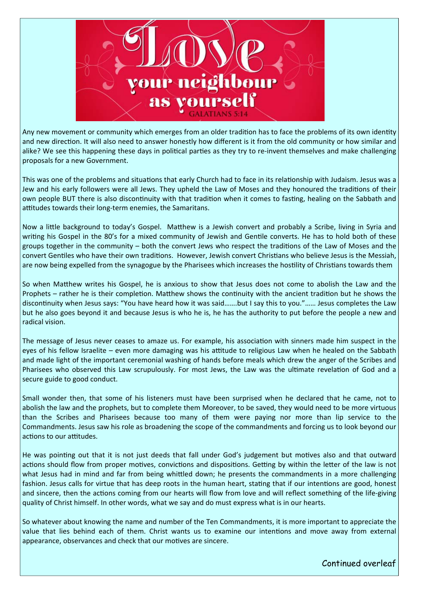

Any new movement or community which emerges from an older tradition has to face the problems of its own identity and new direction. It will also need to answer honestly how different is it from the old community or how similar and alike? We see this happening these days in political parties as they try to re-invent themselves and make challenging proposals for a new Government.

This was one of the problems and situations that early Church had to face in its relationship with Judaism. Jesus was a Jew and his early followers were all Jews. They upheld the Law of Moses and they honoured the traditions of their own people BUT there is also discontinuity with that tradition when it comes to fasting, healing on the Sabbath and attitudes towards their long-term enemies, the Samaritans.

Now a little background to today's Gospel. Matthew is a Jewish convert and probably a Scribe, living in Syria and writing his Gospel in the 80's for a mixed community of Jewish and Gentile converts. He has to hold both of these groups together in the community – both the convert Jews who respect the traditions of the Law of Moses and the convert Gentiles who have their own traditions. However, Jewish convert Christians who believe Jesus is the Messiah, are now being expelled from the synagogue by the Pharisees which increases the hostility of Christians towards them

So when MaƩhew writes his Gospel, he is anxious to show that Jesus does not come to abolish the Law and the Prophets – rather he is their completion. Matthew shows the continuity with the ancient tradition but he shows the discontinuity when Jesus says: "You have heard how it was said.......but I say this to you."...... Jesus completes the Law but he also goes beyond it and because Jesus is who he is, he has the authority to put before the people a new and radical vision.

The message of Jesus never ceases to amaze us. For example, his association with sinners made him suspect in the eyes of his fellow Israelite – even more damaging was his attitude to religious Law when he healed on the Sabbath and made light of the important ceremonial washing of hands before meals which drew the anger of the Scribes and Pharisees who observed this Law scrupulously. For most Jews, the Law was the ultimate revelation of God and a secure guide to good conduct.

Small wonder then, that some of his listeners must have been surprised when he declared that he came, not to abolish the law and the prophets, but to complete them Moreover, to be saved, they would need to be more virtuous than the Scribes and Pharisees because too many of them were paying nor more than lip service to the Commandments. Jesus saw his role as broadening the scope of the commandments and forcing us to look beyond our actions to our attitudes.

He was pointing out that it is not just deeds that fall under God's judgement but motives also and that outward actions should flow from proper motives, convictions and dispositions. Getting by within the letter of the law is not what Jesus had in mind and far from being whittled down; he presents the commandments in a more challenging fashion. Jesus calls for virtue that has deep roots in the human heart, stating that if our intentions are good, honest and sincere, then the actions coming from our hearts will flow from love and will reflect something of the life-giving quality of Christ himself. In other words, what we say and do must express what is in our hearts.

So whatever about knowing the name and number of the Ten Commandments, it is more important to appreciate the value that lies behind each of them. Christ wants us to examine our intentions and move away from external appearance, observances and check that our motives are sincere.

Continued overleaf